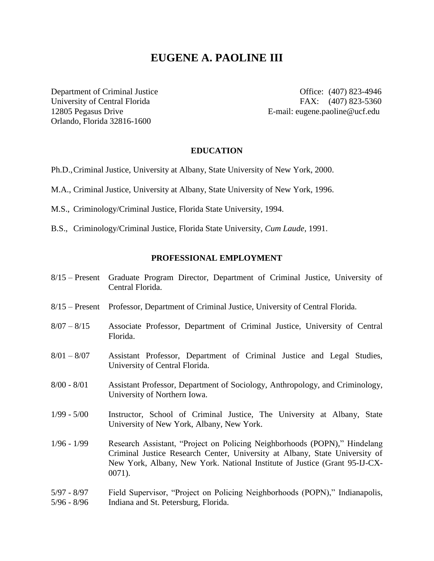# **EUGENE A. PAOLINE III**

Orlando, Florida 32816-1600

Department of Criminal Justice **Office:** (407) 823-4946 University of Central Florida FAX: (407) 823-5360 12805 Pegasus Drive E-mail: eugene.paoline@ucf.edu

#### **EDUCATION**

- Ph.D.,Criminal Justice, University at Albany, State University of New York, 2000.
- M.A., Criminal Justice, University at Albany, State University of New York, 1996.
- M.S., Criminology/Criminal Justice, Florida State University, 1994.
- B.S., Criminology/Criminal Justice, Florida State University, *Cum Laude*, 1991.

#### **PROFESSIONAL EMPLOYMENT**

- 8/15 Present Graduate Program Director, Department of Criminal Justice, University of Central Florida.
- 8/15 Present Professor, Department of Criminal Justice, University of Central Florida.
- 8/07 8/15 Associate Professor, Department of Criminal Justice, University of Central Florida.
- 8/01 8/07 Assistant Professor, Department of Criminal Justice and Legal Studies, University of Central Florida.
- 8/00 8/01 Assistant Professor, Department of Sociology, Anthropology, and Criminology, University of Northern Iowa.
- 1/99 5/00 Instructor, School of Criminal Justice, The University at Albany, State University of New York, Albany, New York.
- 1/96 1/99 Research Assistant, "Project on Policing Neighborhoods (POPN)," Hindelang Criminal Justice Research Center, University at Albany, State University of New York, Albany, New York. National Institute of Justice (Grant 95-IJ-CX-0071).
- 5/97 8/97 Field Supervisor, "Project on Policing Neighborhoods (POPN)," Indianapolis, 5/96 - 8/96 Indiana and St. Petersburg, Florida.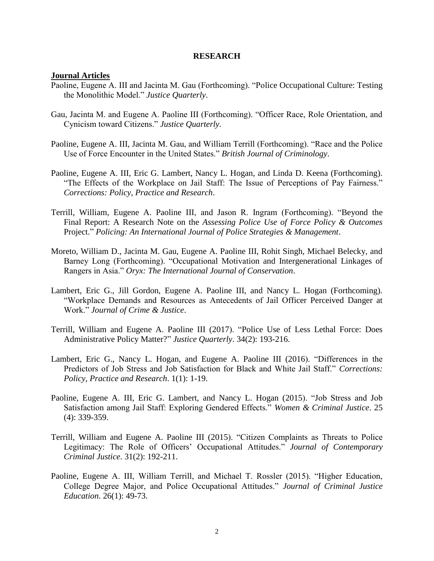#### **RESEARCH**

### **Journal Articles**

- Paoline, Eugene A. III and Jacinta M. Gau (Forthcoming). "Police Occupational Culture: Testing the Monolithic Model." *Justice Quarterly*.
- Gau, Jacinta M. and Eugene A. Paoline III (Forthcoming). "Officer Race, Role Orientation, and Cynicism toward Citizens." *Justice Quarterly*.
- Paoline, Eugene A. III, Jacinta M. Gau, and William Terrill (Forthcoming). "Race and the Police Use of Force Encounter in the United States." *British Journal of Criminology*.
- Paoline, Eugene A. III, Eric G. Lambert, Nancy L. Hogan, and Linda D. Keena (Forthcoming). "The Effects of the Workplace on Jail Staff: The Issue of Perceptions of Pay Fairness." *Corrections: Policy, Practice and Research*.
- Terrill, William, Eugene A. Paoline III, and Jason R. Ingram (Forthcoming). "Beyond the Final Report: A Research Note on the *Assessing Police Use of Force Policy & Outcomes* Project." *Policing: An International Journal of Police Strategies & Management*.
- Moreto, William D., Jacinta M. Gau, Eugene A. Paoline III, Rohit Singh, Michael Belecky, and Barney Long (Forthcoming). "Occupational Motivation and Intergenerational Linkages of Rangers in Asia." *Oryx: The International Journal of Conservation*.
- Lambert, Eric G., Jill Gordon, Eugene A. Paoline III, and Nancy L. Hogan (Forthcoming). "Workplace Demands and Resources as Antecedents of Jail Officer Perceived Danger at Work." *Journal of Crime & Justice*.
- Terrill, William and Eugene A. Paoline III (2017). "Police Use of Less Lethal Force: Does Administrative Policy Matter?" *Justice Quarterly*. 34(2): 193-216.
- Lambert, Eric G., Nancy L. Hogan, and Eugene A. Paoline III (2016). "Differences in the Predictors of Job Stress and Job Satisfaction for Black and White Jail Staff." *Corrections: Policy, Practice and Research*. 1(1): 1-19.
- Paoline, Eugene A. III, Eric G. Lambert, and Nancy L. Hogan (2015). "Job Stress and Job Satisfaction among Jail Staff: Exploring Gendered Effects." *Women & Criminal Justice*. 25 (4): 339-359.
- Terrill, William and Eugene A. Paoline III (2015). "Citizen Complaints as Threats to Police Legitimacy: The Role of Officers' Occupational Attitudes." *Journal of Contemporary Criminal Justice*. 31(2): 192-211.
- Paoline, Eugene A. III, William Terrill, and Michael T. Rossler (2015). "Higher Education, College Degree Major, and Police Occupational Attitudes." *Journal of Criminal Justice Education*. 26(1): 49-73.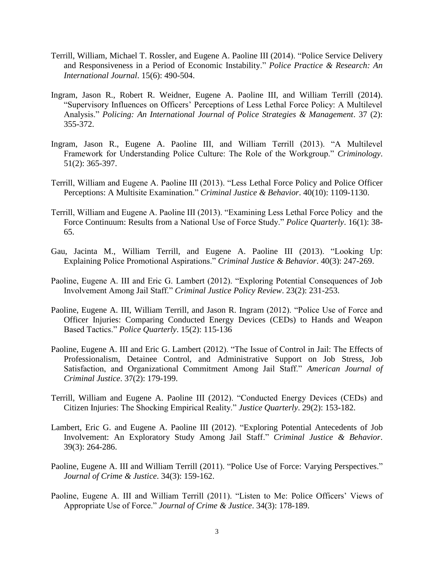- Terrill, William, Michael T. Rossler, and Eugene A. Paoline III (2014). "Police Service Delivery and Responsiveness in a Period of Economic Instability." *Police Practice & Research: An International Journal*. 15(6): 490-504.
- Ingram, Jason R., Robert R. Weidner, Eugene A. Paoline III, and William Terrill (2014). "Supervisory Influences on Officers' Perceptions of Less Lethal Force Policy: A Multilevel Analysis." *Policing: An International Journal of Police Strategies & Management*. 37 (2): 355-372.
- Ingram, Jason R., Eugene A. Paoline III, and William Terrill (2013). "A Multilevel Framework for Understanding Police Culture: The Role of the Workgroup." *Criminology*. 51(2): 365-397.
- Terrill, William and Eugene A. Paoline III (2013). "Less Lethal Force Policy and Police Officer Perceptions: A Multisite Examination." *Criminal Justice & Behavior*. 40(10): 1109-1130.
- Terrill, William and Eugene A. Paoline III (2013). "Examining Less Lethal Force Policy and the Force Continuum: Results from a National Use of Force Study." *Police Quarterly*. 16(1): 38- 65.
- Gau, Jacinta M., William Terrill, and Eugene A. Paoline III (2013). "Looking Up: Explaining Police Promotional Aspirations." *Criminal Justice & Behavior*. 40(3): 247-269.
- Paoline, Eugene A. III and Eric G. Lambert (2012). "Exploring Potential Consequences of Job Involvement Among Jail Staff." *Criminal Justice Policy Review*. 23(2): 231-253.
- Paoline, Eugene A. III, William Terrill, and Jason R. Ingram (2012). "Police Use of Force and Officer Injuries: Comparing Conducted Energy Devices (CEDs) to Hands and Weapon Based Tactics." *Police Quarterly*. 15(2): 115-136
- Paoline, Eugene A. III and Eric G. Lambert (2012). "The Issue of Control in Jail: The Effects of Professionalism, Detainee Control, and Administrative Support on Job Stress, Job Satisfaction, and Organizational Commitment Among Jail Staff." *American Journal of Criminal Justice*. 37(2): 179-199.
- Terrill, William and Eugene A. Paoline III (2012). "Conducted Energy Devices (CEDs) and Citizen Injuries: The Shocking Empirical Reality." *Justice Quarterly*. 29(2): 153-182.
- Lambert, Eric G. and Eugene A. Paoline III (2012). "Exploring Potential Antecedents of Job Involvement: An Exploratory Study Among Jail Staff." *Criminal Justice & Behavior*. 39(3): 264-286.
- Paoline, Eugene A. III and William Terrill (2011). "Police Use of Force: Varying Perspectives." *Journal of Crime & Justice*. 34(3): 159-162.
- Paoline, Eugene A. III and William Terrill (2011). "Listen to Me: Police Officers' Views of Appropriate Use of Force." *Journal of Crime & Justice*. 34(3): 178-189.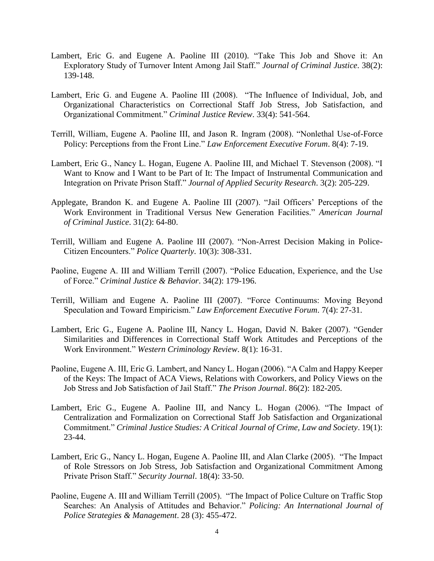- Lambert, Eric G. and Eugene A. Paoline III (2010). "Take This Job and Shove it: An Exploratory Study of Turnover Intent Among Jail Staff." *Journal of Criminal Justice*. 38(2): 139-148.
- Lambert, Eric G. and Eugene A. Paoline III (2008). "The Influence of Individual, Job, and Organizational Characteristics on Correctional Staff Job Stress, Job Satisfaction, and Organizational Commitment." *Criminal Justice Review*. 33(4): 541-564.
- Terrill, William, Eugene A. Paoline III, and Jason R. Ingram (2008). "Nonlethal Use-of-Force Policy: Perceptions from the Front Line." *Law Enforcement Executive Forum*. 8(4): 7-19.
- Lambert, Eric G., Nancy L. Hogan, Eugene A. Paoline III, and Michael T. Stevenson (2008). "I Want to Know and I Want to be Part of It: The Impact of Instrumental Communication and Integration on Private Prison Staff." *Journal of Applied Security Research*. 3(2): 205-229.
- Applegate, Brandon K. and Eugene A. Paoline III (2007). "Jail Officers' Perceptions of the Work Environment in Traditional Versus New Generation Facilities." *American Journal of Criminal Justice*. 31(2): 64-80.
- Terrill, William and Eugene A. Paoline III (2007). "Non-Arrest Decision Making in Police-Citizen Encounters." *Police Quarterly*. 10(3): 308-331.
- Paoline, Eugene A. III and William Terrill (2007). "Police Education, Experience, and the Use of Force." *Criminal Justice & Behavior*. 34(2): 179-196.
- Terrill, William and Eugene A. Paoline III (2007). "Force Continuums: Moving Beyond Speculation and Toward Empiricism." *Law Enforcement Executive Forum*. 7(4): 27-31.
- Lambert, Eric G., Eugene A. Paoline III, Nancy L. Hogan, David N. Baker (2007). "Gender Similarities and Differences in Correctional Staff Work Attitudes and Perceptions of the Work Environment." *Western Criminology Review*. 8(1): 16-31.
- Paoline, Eugene A. III, Eric G. Lambert, and Nancy L. Hogan (2006). "A Calm and Happy Keeper of the Keys: The Impact of ACA Views, Relations with Coworkers, and Policy Views on the Job Stress and Job Satisfaction of Jail Staff." *The Prison Journal*. 86(2): 182-205.
- Lambert, Eric G., Eugene A. Paoline III, and Nancy L. Hogan (2006). "The Impact of Centralization and Formalization on Correctional Staff Job Satisfaction and Organizational Commitment." *Criminal Justice Studies: A Critical Journal of Crime, Law and Society*. 19(1): 23-44.
- Lambert, Eric G., Nancy L. Hogan, Eugene A. Paoline III, and Alan Clarke (2005). "The Impact of Role Stressors on Job Stress, Job Satisfaction and Organizational Commitment Among Private Prison Staff." *Security Journal*. 18(4): 33-50.
- Paoline, Eugene A. III and William Terrill (2005). "The Impact of Police Culture on Traffic Stop Searches: An Analysis of Attitudes and Behavior." *Policing: An International Journal of Police Strategies & Management*. 28 (3): 455-472.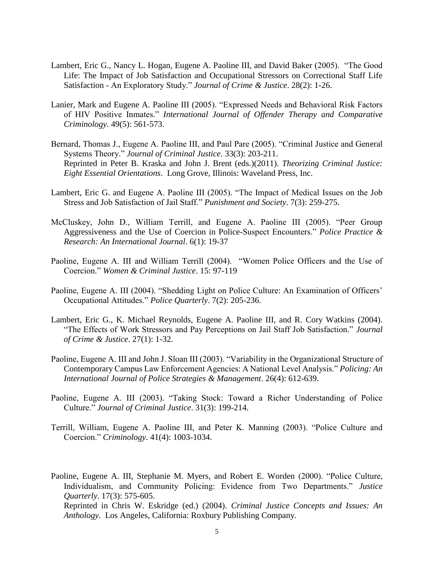- Lambert, Eric G., Nancy L. Hogan, Eugene A. Paoline III, and David Baker (2005). "The Good Life: The Impact of Job Satisfaction and Occupational Stressors on Correctional Staff Life Satisfaction - An Exploratory Study." *Journal of Crime & Justice*. 28(2): 1-26.
- Lanier, Mark and Eugene A. Paoline III (2005). "Expressed Needs and Behavioral Risk Factors of HIV Positive Inmates." *International Journal of Offender Therapy and Comparative Criminology*. 49(5): 561-573.
- Bernard, Thomas J., Eugene A. Paoline III, and Paul Pare (2005). "Criminal Justice and General Systems Theory." *Journal of Criminal Justice*. 33(3): 203-211. Reprinted in Peter B. Kraska and John J. Brent (eds.)(2011). *Theorizing Criminal Justice: Eight Essential Orientations*. Long Grove, Illinois: Waveland Press, Inc.
- Lambert, Eric G. and Eugene A. Paoline III (2005). "The Impact of Medical Issues on the Job Stress and Job Satisfaction of Jail Staff." *Punishment and Society*. 7(3): 259-275.
- McCluskey, John D., William Terrill, and Eugene A. Paoline III (2005). "Peer Group Aggressiveness and the Use of Coercion in Police-Suspect Encounters." *Police Practice & Research: An International Journal*. 6(1): 19-37
- Paoline, Eugene A. III and William Terrill (2004). "Women Police Officers and the Use of Coercion." *Women & Criminal Justice*. 15: 97-119
- Paoline, Eugene A. III (2004). "Shedding Light on Police Culture: An Examination of Officers' Occupational Attitudes." *Police Quarterly*. 7(2): 205-236.
- Lambert, Eric G., K. Michael Reynolds, Eugene A. Paoline III, and R. Cory Watkins (2004). "The Effects of Work Stressors and Pay Perceptions on Jail Staff Job Satisfaction." *Journal of Crime & Justice*. 27(1): 1-32.
- Paoline, Eugene A. III and John J. Sloan III (2003). "Variability in the Organizational Structure of Contemporary Campus Law Enforcement Agencies: A National Level Analysis." *Policing: An International Journal of Police Strategies & Management*. 26(4): 612-639.
- Paoline, Eugene A. III (2003). "Taking Stock: Toward a Richer Understanding of Police Culture." *Journal of Criminal Justice*. 31(3): 199-214.
- Terrill, William, Eugene A. Paoline III, and Peter K. Manning (2003). "Police Culture and Coercion." *Criminology*. 41(4): 1003-1034.

Paoline, Eugene A. III, Stephanie M. Myers, and Robert E. Worden (2000). "Police Culture, Individualism, and Community Policing: Evidence from Two Departments." *Justice Quarterly*. 17(3): 575-605. Reprinted in Chris W. Eskridge (ed.) (2004). *Criminal Justice Concepts and Issues: An Anthology*. Los Angeles, California: Roxbury Publishing Company.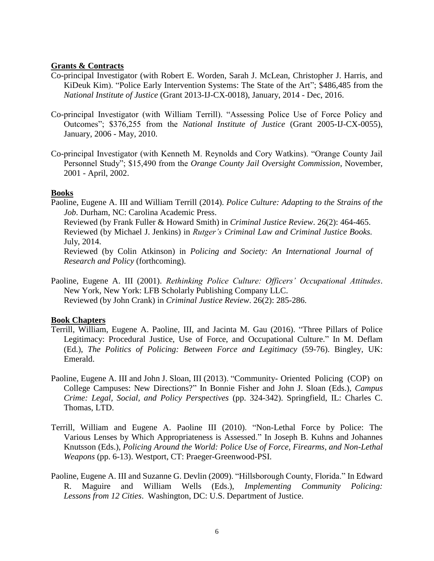### **Grants & Contracts**

- Co-principal Investigator (with Robert E. Worden, Sarah J. McLean, Christopher J. Harris, and KiDeuk Kim). "Police Early Intervention Systems: The State of the Art"; \$486,485 from the *National Institute of Justice* (Grant 2013-IJ-CX-0018), January, 2014 - Dec, 2016.
- Co-principal Investigator (with William Terrill). "Assessing Police Use of Force Policy and Outcomes"; \$376,255 from the *National Institute of Justice* (Grant 2005-IJ-CX-0055), January, 2006 - May, 2010.
- Co-principal Investigator (with Kenneth M. Reynolds and Cory Watkins). "Orange County Jail Personnel Study"; \$15,490 from the *Orange County Jail Oversight Commission*, November, 2001 - April, 2002.

## **Books**

Paoline, Eugene A. III and William Terrill (2014). *Police Culture: Adapting to the Strains of the Job*. Durham, NC: Carolina Academic Press.

Reviewed (by Frank Fuller & Howard Smith) in *Criminal Justice Review*. 26(2): 464-465. Reviewed (by Michael J. Jenkins) in *Rutger's Criminal Law and Criminal Justice Books.* July, 2014.

Reviewed (by Colin Atkinson) in *Policing and Society: An International Journal of Research and Policy* (forthcoming).

Paoline, Eugene A. III (2001). *Rethinking Police Culture: Officers' Occupational Attitudes*. New York, New York: LFB Scholarly Publishing Company LLC. Reviewed (by John Crank) in *Criminal Justice Review*. 26(2): 285-286.

# **Book Chapters**

- Terrill, William, Eugene A. Paoline, III, and Jacinta M. Gau (2016). "Three Pillars of Police Legitimacy: Procedural Justice, Use of Force, and Occupational Culture." In M. Deflam (Ed.), *The Politics of Policing: Between Force and Legitimacy* (59-76). Bingley, UK: Emerald.
- Paoline, Eugene A. III and John J. Sloan, III (2013). "Community- Oriented Policing (COP) on College Campuses: New Directions?" In Bonnie Fisher and John J. Sloan (Eds.), *Campus Crime: Legal, Social, and Policy Perspectives* (pp. 324-342). Springfield, IL: Charles C. Thomas, LTD.
- Terrill, William and Eugene A. Paoline III (2010). "Non-Lethal Force by Police: The Various Lenses by Which Appropriateness is Assessed." In Joseph B. Kuhns and Johannes Knutsson (Eds.), *Policing Around the World: Police Use of Force, Firearms, and Non-Lethal Weapons* (pp. 6-13). Westport, CT: Praeger-Greenwood-PSI.
- Paoline, Eugene A. III and Suzanne G. Devlin (2009). "Hillsborough County, Florida." In Edward R. Maguire and William Wells (Eds.), *Implementing Community Policing: Lessons from 12 Cities*. Washington, DC: U.S. Department of Justice.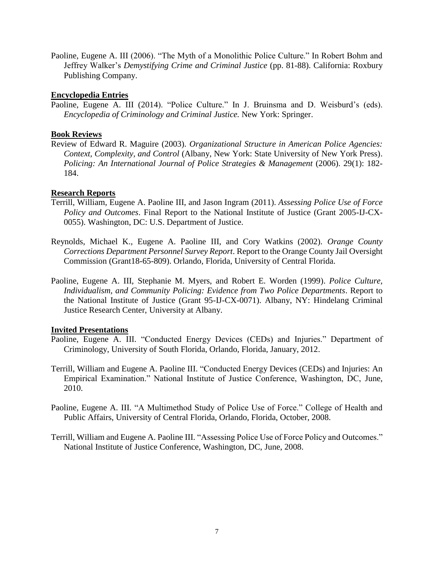Paoline, Eugene A. III (2006). "The Myth of a Monolithic Police Culture." In Robert Bohm and Jeffrey Walker's *Demystifying Crime and Criminal Justice* (pp. 81-88). California: Roxbury Publishing Company.

# **Encyclopedia Entries**

Paoline, Eugene A. III (2014). "Police Culture." In J. Bruinsma and D. Weisburd's (eds). *Encyclopedia of Criminology and Criminal Justice.* New York: Springer.

# **Book Reviews**

Review of Edward R. Maguire (2003). *Organizational Structure in American Police Agencies: Context, Complexity, and Control* (Albany, New York: State University of New York Press). *Policing: An International Journal of Police Strategies & Management* (2006). 29(1): 182- 184.

# **Research Reports**

- Terrill, William, Eugene A. Paoline III, and Jason Ingram (2011). *Assessing Police Use of Force Policy and Outcomes*. Final Report to the National Institute of Justice (Grant 2005-IJ-CX-0055). Washington, DC: U.S. Department of Justice.
- Reynolds, Michael K., Eugene A. Paoline III, and Cory Watkins (2002). *Orange County Corrections Department Personnel Survey Report*. Report to the Orange County Jail Oversight Commission (Grant18-65-809). Orlando, Florida, University of Central Florida.
- Paoline, Eugene A. III, Stephanie M. Myers, and Robert E. Worden (1999). *Police Culture, Individualism, and Community Policing: Evidence from Two Police Departments*. Report to the National Institute of Justice (Grant 95-IJ-CX-0071). Albany, NY: Hindelang Criminal Justice Research Center, University at Albany.

# **Invited Presentations**

- Paoline, Eugene A. III. "Conducted Energy Devices (CEDs) and Injuries." Department of Criminology, University of South Florida, Orlando, Florida, January, 2012.
- Terrill, William and Eugene A. Paoline III. "Conducted Energy Devices (CEDs) and Injuries: An Empirical Examination." National Institute of Justice Conference, Washington, DC, June, 2010.
- Paoline, Eugene A. III. "A Multimethod Study of Police Use of Force." College of Health and Public Affairs, University of Central Florida, Orlando, Florida, October, 2008.
- Terrill, William and Eugene A. Paoline III. "Assessing Police Use of Force Policy and Outcomes." National Institute of Justice Conference, Washington, DC, June, 2008.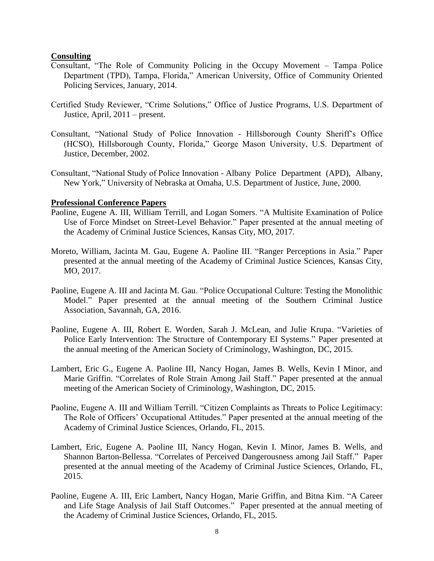## **Consulting**

- Consultant, "The Role of Community Policing in the Occupy Movement Tampa Police Department (TPD), Tampa, Florida," American University, Office of Community Oriented Policing Services, January, 2014.
- Certified Study Reviewer, "Crime Solutions," Office of Justice Programs, U.S. Department of Justice, April, 2011 – present.
- Consultant, "National Study of Police Innovation Hillsborough County Sheriff's Office (HCSO), Hillsborough County, Florida," George Mason University, U.S. Department of Justice, December, 2002.
- Consultant, "National Study of Police Innovation Albany Police Department (APD), Albany, New York," University of Nebraska at Omaha, U.S. Department of Justice, June, 2000.

## **Professional Conference Papers**

- Paoline, Eugene A. III, William Terrill, and Logan Somers. "A Multisite Examination of Police Use of Force Mindset on Street-Level Behavior." Paper presented at the annual meeting of the Academy of Criminal Justice Sciences, Kansas City, MO, 2017.
- Moreto, William, Jacinta M. Gau, Eugene A. Paoline III. "Ranger Perceptions in Asia." Paper presented at the annual meeting of the Academy of Criminal Justice Sciences, Kansas City, MO, 2017.
- Paoline, Eugene A. III and Jacinta M. Gau. "Police Occupational Culture: Testing the Monolithic Model." Paper presented at the annual meeting of the Southern Criminal Justice Association, Savannah, GA, 2016.
- Paoline, Eugene A. III, Robert E. Worden, Sarah J. McLean, and Julie Krupa. "Varieties of Police Early Intervention: The Structure of Contemporary EI Systems." Paper presented at the annual meeting of the American Society of Criminology, Washington, DC, 2015.
- Lambert, Eric G., Eugene A. Paoline III, Nancy Hogan, James B. Wells, Kevin I Minor, and Marie Griffin. "Correlates of Role Strain Among Jail Staff." Paper presented at the annual meeting of the American Society of Criminology, Washington, DC, 2015.
- Paoline, Eugene A. III and William Terrill. "Citizen Complaints as Threats to Police Legitimacy: The Role of Officers' Occupational Attitudes." Paper presented at the annual meeting of the Academy of Criminal Justice Sciences, Orlando, FL, 2015.
- Lambert, Eric, Eugene A. Paoline III, Nancy Hogan, Kevin I. Minor, James B. Wells, and Shannon Barton-Bellessa. "Correlates of Perceived Dangerousness among Jail Staff." Paper presented at the annual meeting of the Academy of Criminal Justice Sciences, Orlando, FL, 2015.
- Paoline, Eugene A. III, Eric Lambert, Nancy Hogan, Marie Griffin, and Bitna Kim. "A Career and Life Stage Analysis of Jail Staff Outcomes." Paper presented at the annual meeting of the Academy of Criminal Justice Sciences, Orlando, FL, 2015.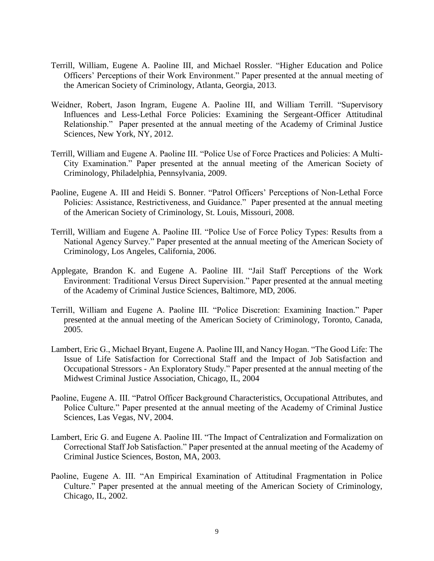- Terrill, William, Eugene A. Paoline III, and Michael Rossler. "Higher Education and Police Officers' Perceptions of their Work Environment." Paper presented at the annual meeting of the American Society of Criminology, Atlanta, Georgia, 2013.
- Weidner, Robert, Jason Ingram, Eugene A. Paoline III, and William Terrill. "Supervisory Influences and Less-Lethal Force Policies: Examining the Sergeant-Officer Attitudinal Relationship." Paper presented at the annual meeting of the Academy of Criminal Justice Sciences, New York, NY, 2012.
- Terrill, William and Eugene A. Paoline III. "Police Use of Force Practices and Policies: A Multi-City Examination." Paper presented at the annual meeting of the American Society of Criminology, Philadelphia, Pennsylvania, 2009.
- Paoline, Eugene A. III and Heidi S. Bonner. "Patrol Officers' Perceptions of Non-Lethal Force Policies: Assistance, Restrictiveness, and Guidance." Paper presented at the annual meeting of the American Society of Criminology, St. Louis, Missouri, 2008.
- Terrill, William and Eugene A. Paoline III. "Police Use of Force Policy Types: Results from a National Agency Survey." Paper presented at the annual meeting of the American Society of Criminology, Los Angeles, California, 2006.
- Applegate, Brandon K. and Eugene A. Paoline III. "Jail Staff Perceptions of the Work Environment: Traditional Versus Direct Supervision." Paper presented at the annual meeting of the Academy of Criminal Justice Sciences, Baltimore, MD, 2006.
- Terrill, William and Eugene A. Paoline III. "Police Discretion: Examining Inaction." Paper presented at the annual meeting of the American Society of Criminology, Toronto, Canada, 2005.
- Lambert, Eric G., Michael Bryant, Eugene A. Paoline III, and Nancy Hogan. "The Good Life: The Issue of Life Satisfaction for Correctional Staff and the Impact of Job Satisfaction and Occupational Stressors - An Exploratory Study." Paper presented at the annual meeting of the Midwest Criminal Justice Association, Chicago, IL, 2004
- Paoline, Eugene A. III. "Patrol Officer Background Characteristics, Occupational Attributes, and Police Culture." Paper presented at the annual meeting of the Academy of Criminal Justice Sciences, Las Vegas, NV, 2004.
- Lambert, Eric G. and Eugene A. Paoline III. "The Impact of Centralization and Formalization on Correctional Staff Job Satisfaction." Paper presented at the annual meeting of the Academy of Criminal Justice Sciences, Boston, MA, 2003.
- Paoline, Eugene A. III. "An Empirical Examination of Attitudinal Fragmentation in Police Culture." Paper presented at the annual meeting of the American Society of Criminology, Chicago, IL, 2002.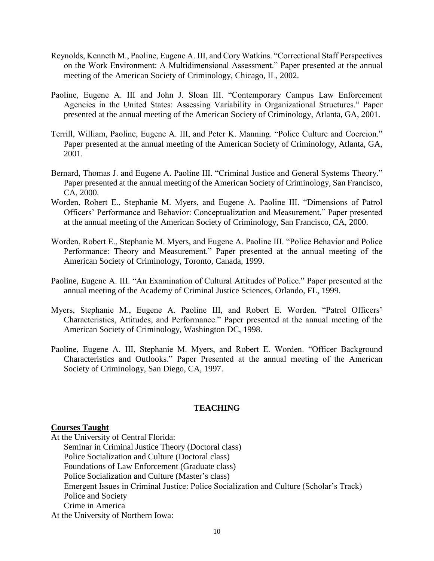- Reynolds, Kenneth M., Paoline, Eugene A. III, and Cory Watkins. "Correctional Staff Perspectives on the Work Environment: A Multidimensional Assessment." Paper presented at the annual meeting of the American Society of Criminology, Chicago, IL, 2002.
- Paoline, Eugene A. III and John J. Sloan III. "Contemporary Campus Law Enforcement Agencies in the United States: Assessing Variability in Organizational Structures." Paper presented at the annual meeting of the American Society of Criminology, Atlanta, GA, 2001.
- Terrill, William, Paoline, Eugene A. III, and Peter K. Manning. "Police Culture and Coercion." Paper presented at the annual meeting of the American Society of Criminology, Atlanta, GA, 2001.
- Bernard, Thomas J. and Eugene A. Paoline III. "Criminal Justice and General Systems Theory." Paper presented at the annual meeting of the American Society of Criminology, San Francisco, CA, 2000.
- Worden, Robert E., Stephanie M. Myers, and Eugene A. Paoline III. "Dimensions of Patrol Officers' Performance and Behavior: Conceptualization and Measurement." Paper presented at the annual meeting of the American Society of Criminology, San Francisco, CA, 2000.
- Worden, Robert E., Stephanie M. Myers, and Eugene A. Paoline III. "Police Behavior and Police Performance: Theory and Measurement." Paper presented at the annual meeting of the American Society of Criminology, Toronto, Canada, 1999.
- Paoline, Eugene A. III. "An Examination of Cultural Attitudes of Police." Paper presented at the annual meeting of the Academy of Criminal Justice Sciences, Orlando, FL, 1999.
- Myers, Stephanie M., Eugene A. Paoline III, and Robert E. Worden. "Patrol Officers' Characteristics, Attitudes, and Performance." Paper presented at the annual meeting of the American Society of Criminology, Washington DC, 1998.
- Paoline, Eugene A. III, Stephanie M. Myers, and Robert E. Worden. "Officer Background Characteristics and Outlooks." Paper Presented at the annual meeting of the American Society of Criminology, San Diego, CA, 1997.

# **TEACHING**

### **Courses Taught**

At the University of Central Florida:

Seminar in Criminal Justice Theory (Doctoral class) Police Socialization and Culture (Doctoral class) Foundations of Law Enforcement (Graduate class) Police Socialization and Culture (Master's class) Emergent Issues in Criminal Justice: Police Socialization and Culture (Scholar's Track) Police and Society Crime in America At the University of Northern Iowa: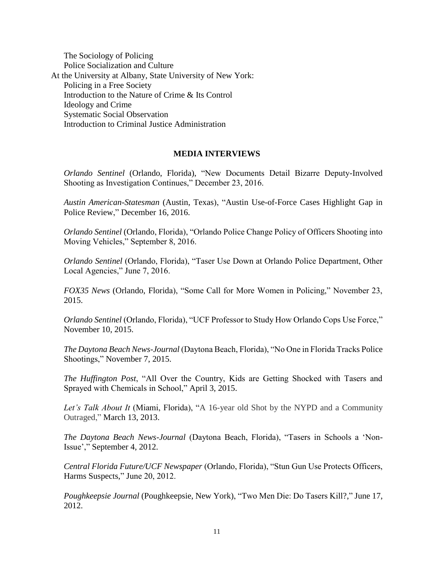The Sociology of Policing Police Socialization and Culture At the University at Albany, State University of New York: Policing in a Free Society Introduction to the Nature of Crime & Its Control Ideology and Crime Systematic Social Observation Introduction to Criminal Justice Administration

## **MEDIA INTERVIEWS**

*Orlando Sentinel* (Orlando, Florida), "New Documents Detail Bizarre Deputy-Involved Shooting as Investigation Continues," December 23, 2016.

*Austin American-Statesman* (Austin, Texas), "Austin Use-of-Force Cases Highlight Gap in Police Review," December 16, 2016.

*Orlando Sentinel* (Orlando, Florida), "Orlando Police Change Policy of Officers Shooting into Moving Vehicles," September 8, 2016.

*Orlando Sentinel* (Orlando, Florida), "Taser Use Down at Orlando Police Department, Other Local Agencies," June 7, 2016.

*FOX35 News* (Orlando, Florida), "Some Call for More Women in Policing," November 23, 2015.

*Orlando Sentinel* (Orlando, Florida), "UCF Professor to Study How Orlando Cops Use Force," November 10, 2015.

*The Daytona Beach News-Journal* (Daytona Beach, Florida), "No One in Florida Tracks Police Shootings," November 7, 2015.

*The Huffington Post*, "All Over the Country, Kids are Getting Shocked with Tasers and Sprayed with Chemicals in School," April 3, 2015.

*Let's Talk About It* (Miami, Florida), "A 16-year old Shot by the NYPD and a Community Outraged," March 13, 2013.

*The Daytona Beach News-Journal* (Daytona Beach, Florida), "Tasers in Schools a 'Non-Issue'," September 4, 2012.

*Central Florida Future/UCF Newspaper* (Orlando, Florida), "Stun Gun Use Protects Officers, Harms Suspects," June 20, 2012.

*Poughkeepsie Journal* (Poughkeepsie, New York), "Two Men Die: Do Tasers Kill?," June 17, 2012.